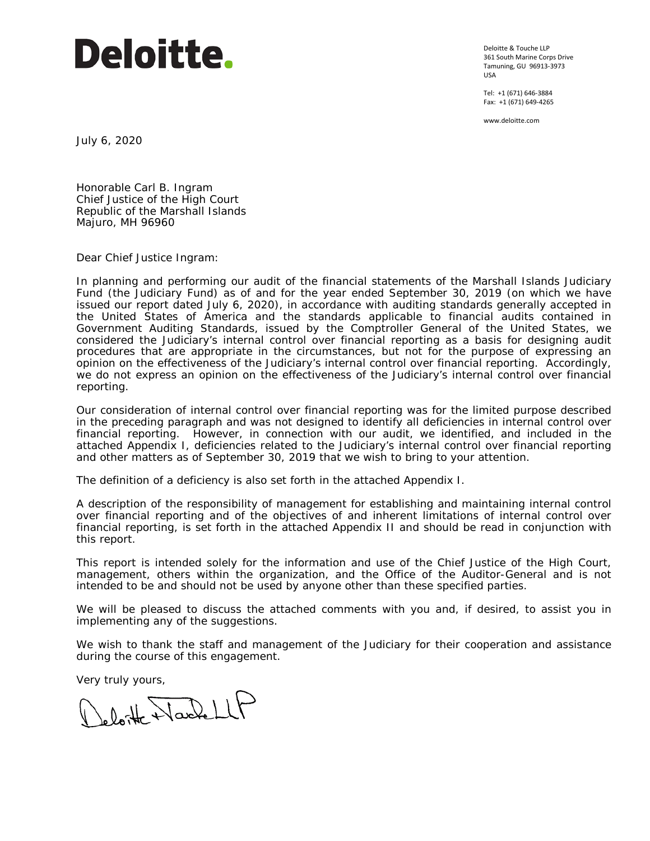# **Deloitte.**

Deloitte & Touche LLP 361 South Marine Corps Drive Tamuning, GU 96913-3973 USA

Tel: +1 (671) 646-3884 Fax: +1 (671) 649-4265

www.deloitte.com

July 6, 2020

Honorable Carl B. Ingram Chief Justice of the High Court Republic of the Marshall Islands Majuro, MH 96960

Dear Chief Justice Ingram:

In planning and performing our audit of the financial statements of the Marshall Islands Judiciary Fund (the Judiciary Fund) as of and for the year ended September 30, 2019 (on which we have issued our report dated July 6, 2020), in accordance with auditing standards generally accepted in the United States of America and the standards applicable to financial audits contained in *Government Auditing Standards,* issued by the Comptroller General of the United States, we considered the Judiciary's internal control over financial reporting as a basis for designing audit procedures that are appropriate in the circumstances, but not for the purpose of expressing an opinion on the effectiveness of the Judiciary's internal control over financial reporting. Accordingly, we do not express an opinion on the effectiveness of the Judiciary's internal control over financial reporting.

Our consideration of internal control over financial reporting was for the limited purpose described in the preceding paragraph and was not designed to identify all deficiencies in internal control over financial reporting. However, in connection with our audit, we identified, and included in the attached Appendix I, deficiencies related to the Judiciary's internal control over financial reporting and other matters as of September 30, 2019 that we wish to bring to your attention.

The definition of a deficiency is also set forth in the attached Appendix I.

A description of the responsibility of management for establishing and maintaining internal control over financial reporting and of the objectives of and inherent limitations of internal control over financial reporting, is set forth in the attached Appendix II and should be read in conjunction with this report.

This report is intended solely for the information and use of the Chief Justice of the High Court, management, others within the organization, and the Office of the Auditor-General and is not intended to be and should not be used by anyone other than these specified parties.

We will be pleased to discuss the attached comments with you and, if desired, to assist you in implementing any of the suggestions.

We wish to thank the staff and management of the Judiciary for their cooperation and assistance during the course of this engagement.

Very truly yours,<br>( ) b b the Narchell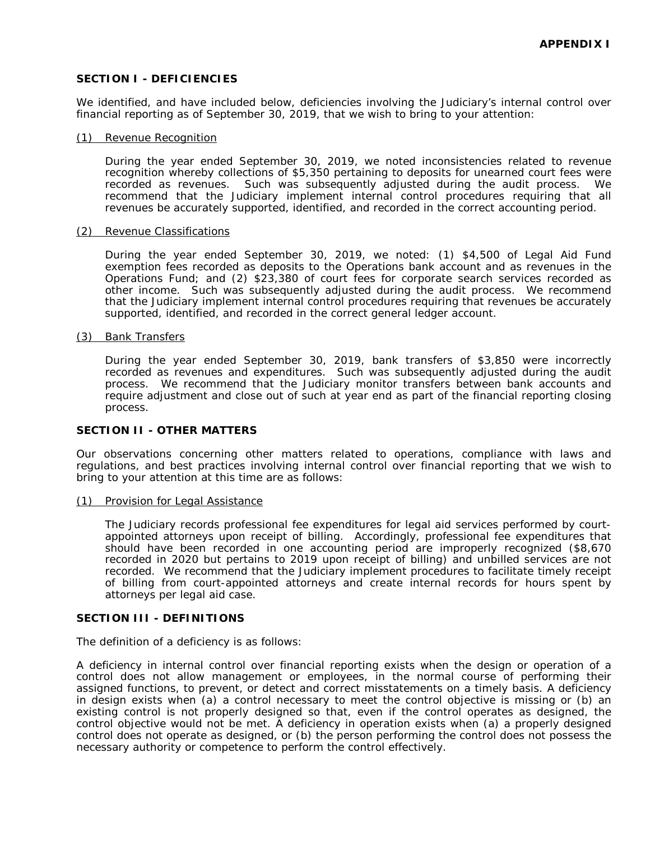## **SECTION I - DEFICIENCIES**

We identified, and have included below, deficiencies involving the Judiciary's internal control over financial reporting as of September 30, 2019, that we wish to bring to your attention:

#### (1) Revenue Recognition

During the year ended September 30, 2019, we noted inconsistencies related to revenue recognition whereby collections of \$5,350 pertaining to deposits for unearned court fees were recorded as revenues. Such was subsequently adjusted during the audit process. We recommend that the Judiciary implement internal control procedures requiring that all revenues be accurately supported, identified, and recorded in the correct accounting period.

#### (2) Revenue Classifications

During the year ended September 30, 2019, we noted: (1) \$4,500 of Legal Aid Fund exemption fees recorded as deposits to the Operations bank account and as revenues in the Operations Fund; and (2) \$23,380 of court fees for corporate search services recorded as other income. Such was subsequently adjusted during the audit process. We recommend that the Judiciary implement internal control procedures requiring that revenues be accurately supported, identified, and recorded in the correct general ledger account.

#### (3) Bank Transfers

During the year ended September 30, 2019, bank transfers of \$3,850 were incorrectly recorded as revenues and expenditures. Such was subsequently adjusted during the audit process. We recommend that the Judiciary monitor transfers between bank accounts and require adjustment and close out of such at year end as part of the financial reporting closing process.

#### **SECTION II - OTHER MATTERS**

Our observations concerning other matters related to operations, compliance with laws and regulations, and best practices involving internal control over financial reporting that we wish to bring to your attention at this time are as follows:

(1) Provision for Legal Assistance

The Judiciary records professional fee expenditures for legal aid services performed by courtappointed attorneys upon receipt of billing. Accordingly, professional fee expenditures that should have been recorded in one accounting period are improperly recognized (\$8,670 recorded in 2020 but pertains to 2019 upon receipt of billing) and unbilled services are not recorded. We recommend that the Judiciary implement procedures to facilitate timely receipt of billing from court-appointed attorneys and create internal records for hours spent by attorneys per legal aid case.

### **SECTION III - DEFINITIONS**

The definition of a deficiency is as follows:

A *deficiency* in internal control over financial reporting exists when the design or operation of a control does not allow management or employees, in the normal course of performing their assigned functions, to prevent, or detect and correct misstatements on a timely basis. A deficiency in design exists when (a) a control necessary to meet the control objective is missing or (b) an existing control is not properly designed so that, even if the control operates as designed, the control objective would not be met. A deficiency in operation exists when (a) a properly designed control does not operate as designed, or (b) the person performing the control does not possess the necessary authority or competence to perform the control effectively.